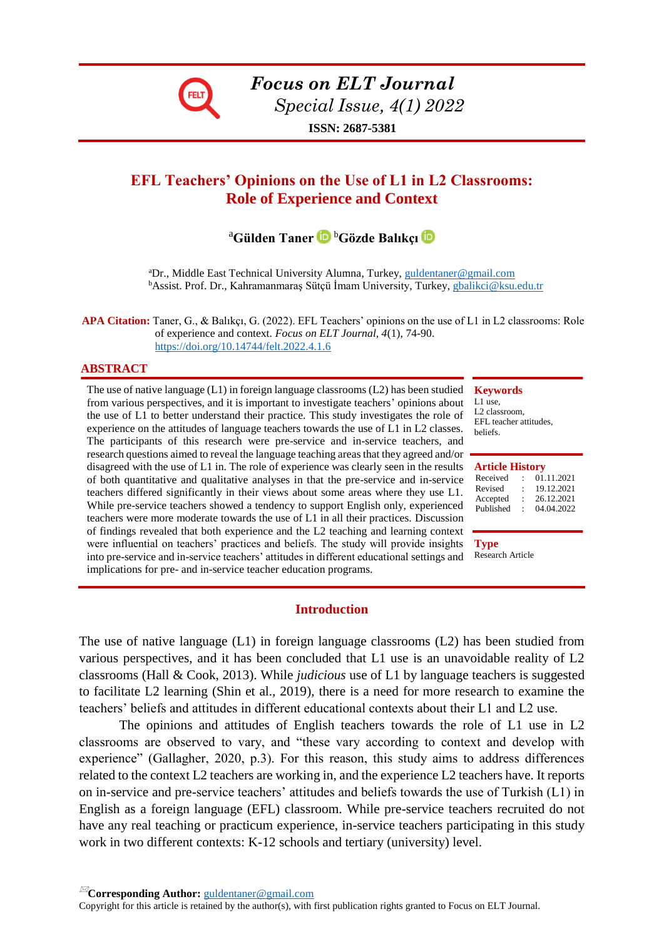

*Focus on ELT Journal Special Issue, 4(1) 2022*

**ISSN: 2687-5381**

# **EFL Teachers' Opinions on the Use of L1 in L2 Classrooms: Role of Experience and Context**

# <sup>a</sup>**Gülden Taner** <sup>b</sup>**Gözde Balıkçı**

<sup>a</sup>Dr., Middle East Technical University Alumna, Turkey, [guldentaner@gmail.com](mailto:guldentaner@gmail.com) <sup>b</sup>Assist. Prof. Dr., Kahramanmaraş Sütçü İmam University, Turkey, [gbalikci@ksu.edu.tr](mailto:gbalikci@ksu.edu.tr)

**APA Citation:** Taner, G., & Balıkçı, G. (2022). EFL Teachers' opinions on the use of L1 in L2 classrooms: Role of experience and context. *Focus on ELT Journal, 4*(1), 74-90. <https://doi.org/10.14744/felt.2022.4.1.6>

#### **ABSTRACT**

The use of native language (L1) in foreign language classrooms (L2) has been studied **Keywords** from various perspectives, and it is important to investigate teachers' opinions about the use of L1 to better understand their practice. This study investigates the role of experience on the attitudes of language teachers towards the use of L1 in L2 classes. The participants of this research were pre-service and in-service teachers, and research questions aimed to reveal the language teaching areas that they agreed and/or disagreed with the use of L1 in. The role of experience was clearly seen in the results of both quantitative and qualitative analyses in that the pre-service and in-service teachers differed significantly in their views about some areas where they use L1. While pre-service teachers showed a tendency to support English only, experienced teachers were more moderate towards the use of L1 in all their practices. Discussion of findings revealed that both experience and the L2 teaching and learning context were influential on teachers' practices and beliefs. The study will provide insights into pre-service and in-service teachers' attitudes in different educational settings and implications for pre- and in-service teacher education programs.

# L1 use, L2 classroom,

EFL teacher attitudes, beliefs.

| <b>Article History</b> |   |            |  |  |  |
|------------------------|---|------------|--|--|--|
| Received               |   | 01.11.2021 |  |  |  |
| Revised                | ٠ | 19.12.2021 |  |  |  |
| Accepted               | ٠ | 26.12.2021 |  |  |  |
| Published              |   | 04.04.2022 |  |  |  |

**Type** Research Article

#### **Introduction**

The use of native language (L1) in foreign language classrooms (L2) has been studied from various perspectives, and it has been concluded that L1 use is an unavoidable reality of L2 classrooms (Hall & Cook, 2013). While *judicious* use of L1 by language teachers is suggested to facilitate L2 learning (Shin et al., 2019), there is a need for more research to examine the teachers' beliefs and attitudes in different educational contexts about their L1 and L2 use.

The opinions and attitudes of English teachers towards the role of L1 use in L2 classrooms are observed to vary, and "these vary according to context and develop with experience" (Gallagher, 2020, p.3). For this reason, this study aims to address differences related to the context L2 teachers are working in, and the experience L2 teachers have. It reports on in-service and pre-service teachers' attitudes and beliefs towards the use of Turkish (L1) in English as a foreign language (EFL) classroom. While pre-service teachers recruited do not have any real teaching or practicum experience, in-service teachers participating in this study work in two different contexts: K-12 schools and tertiary (university) level.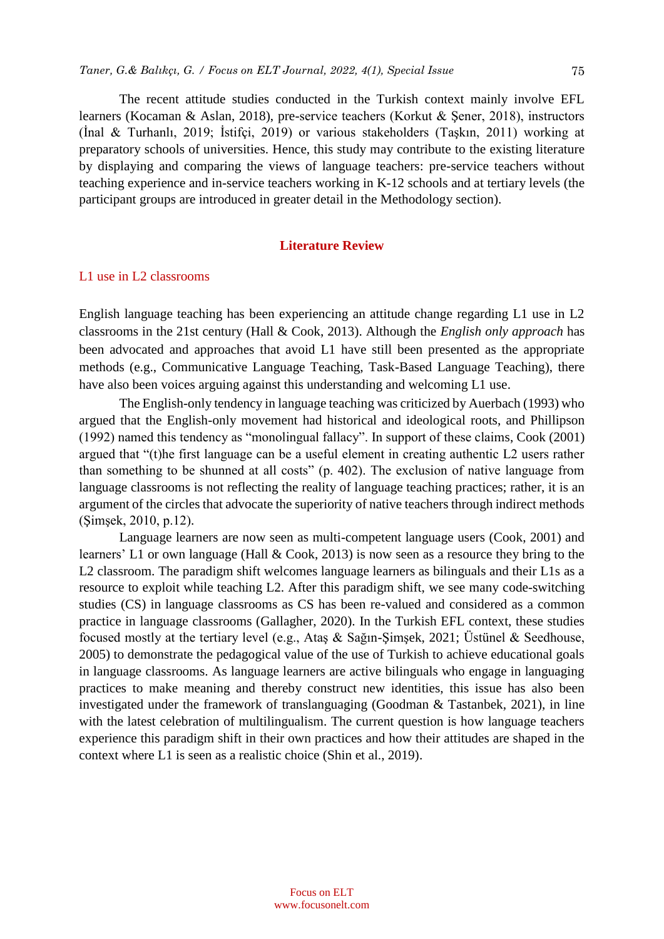The recent attitude studies conducted in the Turkish context mainly involve EFL learners (Kocaman & Aslan, 2018), pre-service teachers (Korkut & Şener, 2018), instructors (İnal & Turhanlı, 2019; İstifçi, 2019) or various stakeholders (Taşkın, 2011) working at preparatory schools of universities. Hence, this study may contribute to the existing literature by displaying and comparing the views of language teachers: pre-service teachers without teaching experience and in-service teachers working in K-12 schools and at tertiary levels (the participant groups are introduced in greater detail in the Methodology section).

# **Literature Review**

# L1 use in L2 classrooms

English language teaching has been experiencing an attitude change regarding L1 use in L2 classrooms in the 21st century (Hall & Cook, 2013). Although the *English only approach* has been advocated and approaches that avoid L1 have still been presented as the appropriate methods (e.g., Communicative Language Teaching, Task-Based Language Teaching), there have also been voices arguing against this understanding and welcoming L1 use.

The English-only tendency in language teaching was criticized by Auerbach (1993) who argued that the English-only movement had historical and ideological roots, and Phillipson (1992) named this tendency as "monolingual fallacy". In support of these claims, Cook (2001) argued that "(t)he first language can be a useful element in creating authentic L2 users rather than something to be shunned at all costs" (p. 402). The exclusion of native language from language classrooms is not reflecting the reality of language teaching practices; rather, it is an argument of the circles that advocate the superiority of native teachers through indirect methods (Şimşek, 2010, p.12).

Language learners are now seen as multi-competent language users (Cook, 2001) and learners' L1 or own language (Hall & Cook, 2013) is now seen as a resource they bring to the L2 classroom. The paradigm shift welcomes language learners as bilinguals and their L1s as a resource to exploit while teaching L2. After this paradigm shift, we see many code-switching studies (CS) in language classrooms as CS has been re-valued and considered as a common practice in language classrooms (Gallagher, 2020). In the Turkish EFL context, these studies focused mostly at the tertiary level (e.g., Ataş & Sağın-Şimşek, 2021; Üstünel & Seedhouse, 2005) to demonstrate the pedagogical value of the use of Turkish to achieve educational goals in language classrooms. As language learners are active bilinguals who engage in languaging practices to make meaning and thereby construct new identities, this issue has also been investigated under the framework of translanguaging (Goodman & Tastanbek, 2021), in line with the latest celebration of multilingualism. The current question is how language teachers experience this paradigm shift in their own practices and how their attitudes are shaped in the context where L1 is seen as a realistic choice (Shin et al., 2019).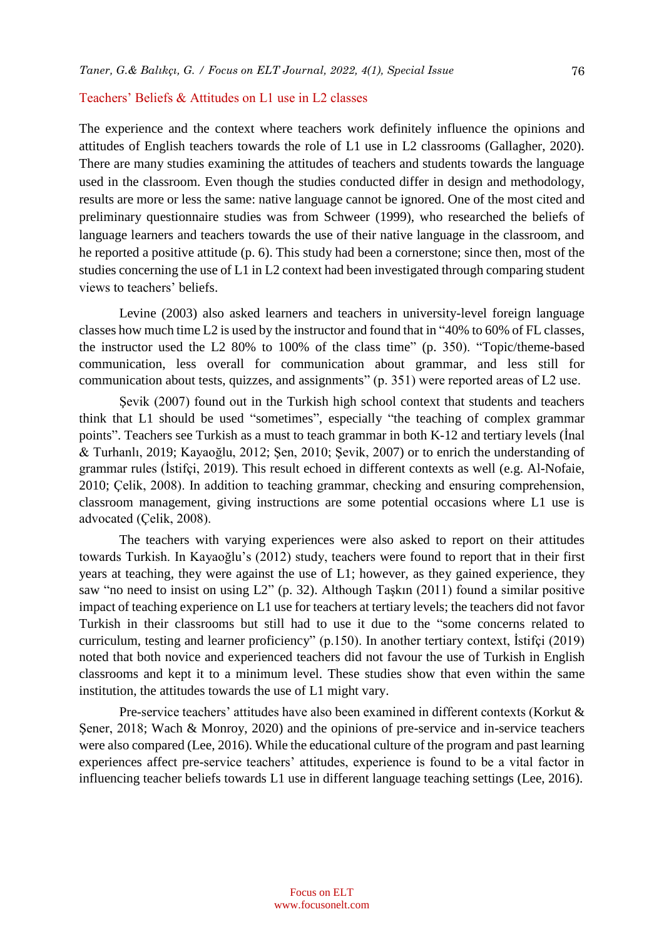#### Teachers' Beliefs & Attitudes on L1 use in L2 classes

The experience and the context where teachers work definitely influence the opinions and attitudes of English teachers towards the role of L1 use in L2 classrooms (Gallagher, 2020). There are many studies examining the attitudes of teachers and students towards the language used in the classroom. Even though the studies conducted differ in design and methodology, results are more or less the same: native language cannot be ignored. One of the most cited and preliminary questionnaire studies was from Schweer (1999), who researched the beliefs of language learners and teachers towards the use of their native language in the classroom, and he reported a positive attitude (p. 6). This study had been a cornerstone; since then, most of the studies concerning the use of L1 in L2 context had been investigated through comparing student views to teachers' beliefs.

Levine (2003) also asked learners and teachers in university-level foreign language classes how much time L2 is used by the instructor and found that in "40% to 60% of FL classes, the instructor used the L2 80% to 100% of the class time" (p. 350). "Topic/theme-based communication, less overall for communication about grammar, and less still for communication about tests, quizzes, and assignments" (p. 351) were reported areas of L2 use.

Şevik (2007) found out in the Turkish high school context that students and teachers think that L1 should be used "sometimes", especially "the teaching of complex grammar points". Teachers see Turkish as a must to teach grammar in both K-12 and tertiary levels (İnal & Turhanlı, 2019; Kayaoğlu, 2012; Şen, 2010; Şevik, 2007) or to enrich the understanding of grammar rules (İstifçi, 2019). This result echoed in different contexts as well (e.g. Al-Nofaie, 2010; Çelik, 2008). In addition to teaching grammar, checking and ensuring comprehension, classroom management, giving instructions are some potential occasions where L1 use is advocated (Çelik, 2008).

The teachers with varying experiences were also asked to report on their attitudes towards Turkish. In Kayaoğlu's (2012) study, teachers were found to report that in their first years at teaching, they were against the use of L1; however, as they gained experience, they saw "no need to insist on using L2" (p. 32). Although Taşkın (2011) found a similar positive impact of teaching experience on L1 use for teachers at tertiary levels; the teachers did not favor Turkish in their classrooms but still had to use it due to the "some concerns related to curriculum, testing and learner proficiency" (p.150). In another tertiary context, İstifçi (2019) noted that both novice and experienced teachers did not favour the use of Turkish in English classrooms and kept it to a minimum level. These studies show that even within the same institution, the attitudes towards the use of L1 might vary.

Pre-service teachers' attitudes have also been examined in different contexts (Korkut & Şener, 2018; Wach & Monroy, 2020) and the opinions of pre-service and in-service teachers were also compared (Lee, 2016). While the educational culture of the program and past learning experiences affect pre-service teachers' attitudes, experience is found to be a vital factor in influencing teacher beliefs towards L1 use in different language teaching settings (Lee, 2016).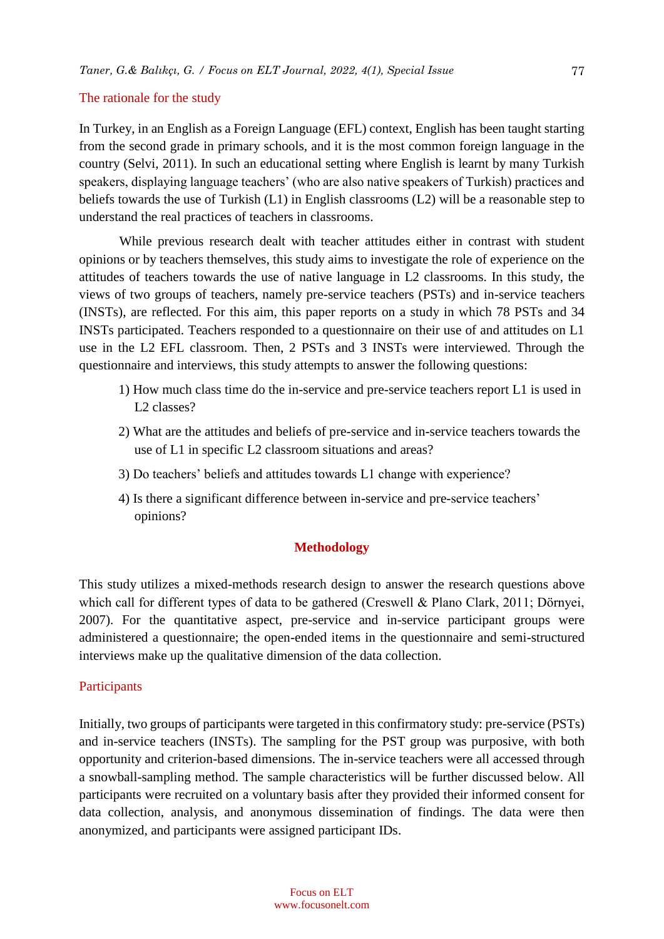# The rationale for the study

In Turkey, in an English as a Foreign Language (EFL) context, English has been taught starting from the second grade in primary schools, and it is the most common foreign language in the country (Selvi, 2011). In such an educational setting where English is learnt by many Turkish speakers, displaying language teachers' (who are also native speakers of Turkish) practices and beliefs towards the use of Turkish (L1) in English classrooms (L2) will be a reasonable step to understand the real practices of teachers in classrooms.

While previous research dealt with teacher attitudes either in contrast with student opinions or by teachers themselves, this study aims to investigate the role of experience on the attitudes of teachers towards the use of native language in L2 classrooms. In this study, the views of two groups of teachers, namely pre-service teachers (PSTs) and in-service teachers (INSTs), are reflected. For this aim, this paper reports on a study in which 78 PSTs and 34 INSTs participated. Teachers responded to a questionnaire on their use of and attitudes on L1 use in the L2 EFL classroom. Then, 2 PSTs and 3 INSTs were interviewed. Through the questionnaire and interviews, this study attempts to answer the following questions:

- 1) How much class time do the in-service and pre-service teachers report L1 is used in L2 classes?
- 2) What are the attitudes and beliefs of pre-service and in-service teachers towards the use of L1 in specific L2 classroom situations and areas?
- 3) Do teachers' beliefs and attitudes towards L1 change with experience?
- 4) Is there a significant difference between in-service and pre-service teachers' opinions?

# **Methodology**

This study utilizes a mixed-methods research design to answer the research questions above which call for different types of data to be gathered (Creswell & Plano Clark, 2011; Dörnyei, 2007). For the quantitative aspect, pre-service and in-service participant groups were administered a questionnaire; the open-ended items in the questionnaire and semi-structured interviews make up the qualitative dimension of the data collection.

# Participants

Initially, two groups of participants were targeted in this confirmatory study: pre-service (PSTs) and in-service teachers (INSTs). The sampling for the PST group was purposive, with both opportunity and criterion-based dimensions. The in-service teachers were all accessed through a snowball-sampling method. The sample characteristics will be further discussed below. All participants were recruited on a voluntary basis after they provided their informed consent for data collection, analysis, and anonymous dissemination of findings. The data were then anonymized, and participants were assigned participant IDs.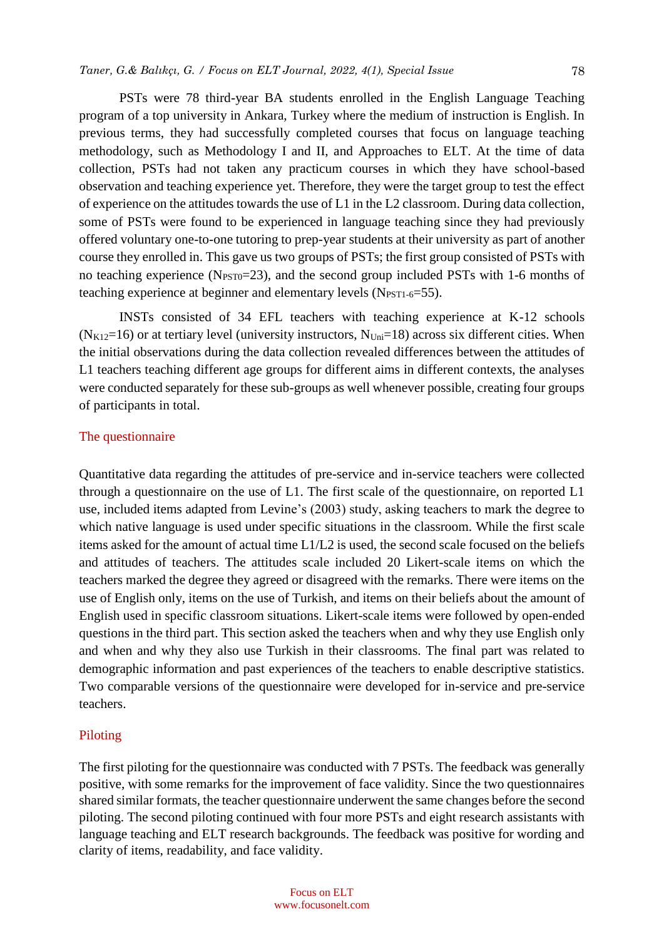PSTs were 78 third-year BA students enrolled in the English Language Teaching program of a top university in Ankara, Turkey where the medium of instruction is English. In previous terms, they had successfully completed courses that focus on language teaching methodology, such as Methodology I and II, and Approaches to ELT. At the time of data collection, PSTs had not taken any practicum courses in which they have school-based observation and teaching experience yet. Therefore, they were the target group to test the effect of experience on the attitudes towards the use of L1 in the L2 classroom. During data collection, some of PSTs were found to be experienced in language teaching since they had previously offered voluntary one-to-one tutoring to prep-year students at their university as part of another course they enrolled in. This gave us two groups of PSTs; the first group consisted of PSTs with no teaching experience ( $N_{\text{PST0}}$ =23), and the second group included PSTs with 1-6 months of teaching experience at beginner and elementary levels  $(N_{\text{PST1-6}}=55)$ .

INSTs consisted of 34 EFL teachers with teaching experience at K-12 schools  $(N_{K12}=16)$  or at tertiary level (university instructors,  $N_{Uni}=18$ ) across six different cities. When the initial observations during the data collection revealed differences between the attitudes of L1 teachers teaching different age groups for different aims in different contexts, the analyses were conducted separately for these sub-groups as well whenever possible, creating four groups of participants in total.

# The questionnaire

Quantitative data regarding the attitudes of pre-service and in-service teachers were collected through a questionnaire on the use of L1. The first scale of the questionnaire, on reported L1 use, included items adapted from Levine's (2003) study, asking teachers to mark the degree to which native language is used under specific situations in the classroom. While the first scale items asked for the amount of actual time L1/L2 is used, the second scale focused on the beliefs and attitudes of teachers. The attitudes scale included 20 Likert-scale items on which the teachers marked the degree they agreed or disagreed with the remarks. There were items on the use of English only, items on the use of Turkish, and items on their beliefs about the amount of English used in specific classroom situations. Likert-scale items were followed by open-ended questions in the third part. This section asked the teachers when and why they use English only and when and why they also use Turkish in their classrooms. The final part was related to demographic information and past experiences of the teachers to enable descriptive statistics. Two comparable versions of the questionnaire were developed for in-service and pre-service teachers.

#### Piloting

The first piloting for the questionnaire was conducted with 7 PSTs. The feedback was generally positive, with some remarks for the improvement of face validity. Since the two questionnaires shared similar formats, the teacher questionnaire underwent the same changes before the second piloting. The second piloting continued with four more PSTs and eight research assistants with language teaching and ELT research backgrounds. The feedback was positive for wording and clarity of items, readability, and face validity.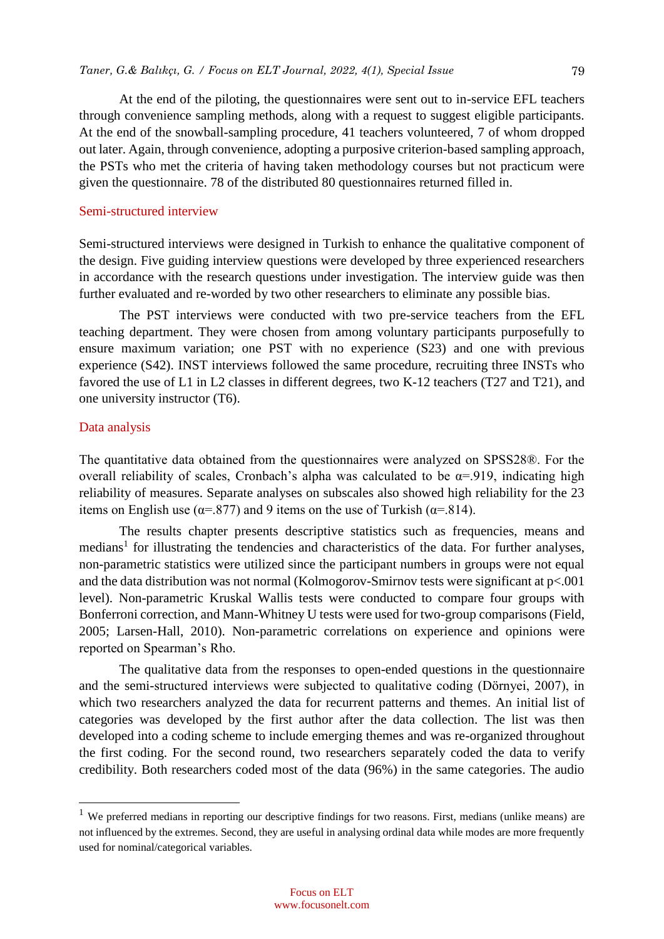At the end of the piloting, the questionnaires were sent out to in-service EFL teachers through convenience sampling methods, along with a request to suggest eligible participants. At the end of the snowball-sampling procedure, 41 teachers volunteered, 7 of whom dropped out later. Again, through convenience, adopting a purposive criterion-based sampling approach, the PSTs who met the criteria of having taken methodology courses but not practicum were given the questionnaire. 78 of the distributed 80 questionnaires returned filled in.

# Semi-structured interview

Semi-structured interviews were designed in Turkish to enhance the qualitative component of the design. Five guiding interview questions were developed by three experienced researchers in accordance with the research questions under investigation. The interview guide was then further evaluated and re-worded by two other researchers to eliminate any possible bias.

The PST interviews were conducted with two pre-service teachers from the EFL teaching department. They were chosen from among voluntary participants purposefully to ensure maximum variation; one PST with no experience (S23) and one with previous experience (S42). INST interviews followed the same procedure, recruiting three INSTs who favored the use of L1 in L2 classes in different degrees, two K-12 teachers (T27 and T21), and one university instructor (T6).

# Data analysis

 $\overline{a}$ 

The quantitative data obtained from the questionnaires were analyzed on SPSS28®. For the overall reliability of scales, Cronbach's alpha was calculated to be  $\alpha$ =.919, indicating high reliability of measures. Separate analyses on subscales also showed high reliability for the 23 items on English use ( $\alpha$ =.877) and 9 items on the use of Turkish ( $\alpha$ =.814).

The results chapter presents descriptive statistics such as frequencies, means and medians<sup>1</sup> for illustrating the tendencies and characteristics of the data. For further analyses, non-parametric statistics were utilized since the participant numbers in groups were not equal and the data distribution was not normal (Kolmogorov-Smirnov tests were significant at p<.001 level). Non-parametric Kruskal Wallis tests were conducted to compare four groups with Bonferroni correction, and Mann-Whitney U tests were used for two-group comparisons (Field, 2005; Larsen-Hall, 2010). Non-parametric correlations on experience and opinions were reported on Spearman's Rho.

The qualitative data from the responses to open-ended questions in the questionnaire and the semi-structured interviews were subjected to qualitative coding (Dörnyei, 2007), in which two researchers analyzed the data for recurrent patterns and themes. An initial list of categories was developed by the first author after the data collection. The list was then developed into a coding scheme to include emerging themes and was re-organized throughout the first coding. For the second round, two researchers separately coded the data to verify credibility. Both researchers coded most of the data (96%) in the same categories. The audio

 $1$  We preferred medians in reporting our descriptive findings for two reasons. First, medians (unlike means) are not influenced by the extremes. Second, they are useful in analysing ordinal data while modes are more frequently used for nominal/categorical variables.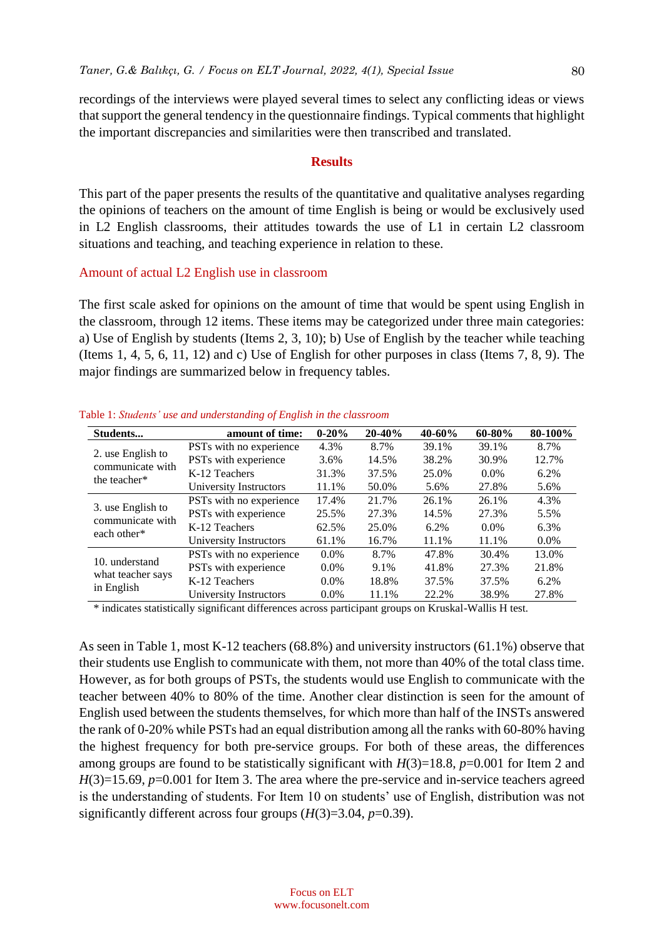recordings of the interviews were played several times to select any conflicting ideas or views that support the general tendency in the questionnaire findings. Typical comments that highlight the important discrepancies and similarities were then transcribed and translated.

#### **Results**

This part of the paper presents the results of the quantitative and qualitative analyses regarding the opinions of teachers on the amount of time English is being or would be exclusively used in L2 English classrooms, their attitudes towards the use of L1 in certain L2 classroom situations and teaching, and teaching experience in relation to these.

#### Amount of actual L2 English use in classroom

The first scale asked for opinions on the amount of time that would be spent using English in the classroom, through 12 items. These items may be categorized under three main categories: a) Use of English by students (Items 2, 3, 10); b) Use of English by the teacher while teaching (Items 1, 4, 5, 6, 11, 12) and c) Use of English for other purposes in class (Items 7, 8, 9). The major findings are summarized below in frequency tables.

| Students                                              | amount of time:         | $0 - 20%$ | $20 - 40%$ | $40 - 60%$ | $60 - 80%$ | 80-100% |
|-------------------------------------------------------|-------------------------|-----------|------------|------------|------------|---------|
| 2. use English to<br>communicate with<br>the teacher* | PSTs with no experience | 4.3%      | 8.7%       | 39.1%      | 39.1%      | 8.7%    |
|                                                       | PSTs with experience    | 3.6%      | 14.5%      | 38.2%      | 30.9%      | 12.7%   |
|                                                       | K-12 Teachers           | 31.3%     | 37.5%      | 25.0%      | $0.0\%$    | 6.2%    |
|                                                       | University Instructors  | 11.1%     | 50.0%      | 5.6%       | 27.8%      | 5.6%    |
| 3. use English to<br>communicate with<br>each other*  | PSTs with no experience | 17.4%     | 21.7%      | 26.1%      | 26.1%      | 4.3%    |
|                                                       | PSTs with experience    | 25.5%     | 27.3%      | 14.5%      | 27.3%      | 5.5%    |
|                                                       | K-12 Teachers           | 62.5%     | 25.0%      | 6.2%       | $0.0\%$    | 6.3%    |
|                                                       | University Instructors  | 61.1%     | 16.7%      | 11.1%      | 11.1%      | $0.0\%$ |
| 10. understand<br>what teacher says<br>in English     | PSTs with no experience | $0.0\%$   | 8.7%       | 47.8%      | 30.4%      | 13.0%   |
|                                                       | PSTs with experience    | $0.0\%$   | 9.1%       | 41.8%      | 27.3%      | 21.8%   |
|                                                       | K-12 Teachers           | $0.0\%$   | 18.8%      | 37.5%      | 37.5%      | 6.2%    |
|                                                       | University Instructors  | $0.0\%$   | 11.1%      | 22.2%      | 38.9%      | 27.8%   |

Table 1: *Students' use and understanding of English in the classroom*

\* indicates statistically significant differences across participant groups on Kruskal-Wallis H test.

As seen in Table 1, most K-12 teachers (68.8%) and university instructors (61.1%) observe that their students use English to communicate with them, not more than 40% of the total class time. However, as for both groups of PSTs, the students would use English to communicate with the teacher between 40% to 80% of the time. Another clear distinction is seen for the amount of English used between the students themselves, for which more than half of the INSTs answered the rank of 0-20% while PSTs had an equal distribution among all the ranks with 60-80% having the highest frequency for both pre-service groups. For both of these areas, the differences among groups are found to be statistically significant with  $H(3)=18.8$ ,  $p=0.001$  for Item 2 and *H*(3)=15.69, *p*=0.001 for Item 3. The area where the pre-service and in-service teachers agreed is the understanding of students. For Item 10 on students' use of English, distribution was not significantly different across four groups (*H*(3)=3.04, *p*=0.39).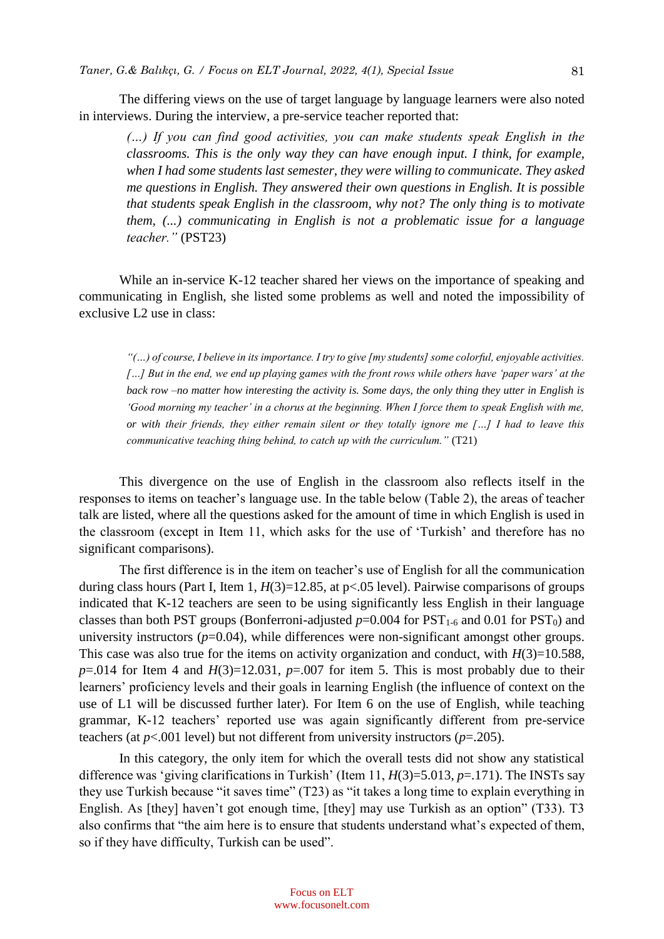The differing views on the use of target language by language learners were also noted in interviews. During the interview, a pre-service teacher reported that:

*(…) If you can find good activities, you can make students speak English in the classrooms. This is the only way they can have enough input. I think, for example, when I had some students last semester, they were willing to communicate. They asked me questions in English. They answered their own questions in English. It is possible that students speak English in the classroom, why not? The only thing is to motivate them, (...) communicating in English is not a problematic issue for a language teacher."* (PST23)

While an in-service K-12 teacher shared her views on the importance of speaking and communicating in English, she listed some problems as well and noted the impossibility of exclusive L2 use in class:

*"(…) of course, I believe in its importance. I try to give [my students] some colorful, enjoyable activities. […] But in the end, we end up playing games with the front rows while others have 'paper wars' at the back row –no matter how interesting the activity is. Some days, the only thing they utter in English is 'Good morning my teacher' in a chorus at the beginning. When I force them to speak English with me, or with their friends, they either remain silent or they totally ignore me […] I had to leave this communicative teaching thing behind, to catch up with the curriculum."* (T21)

This divergence on the use of English in the classroom also reflects itself in the responses to items on teacher's language use. In the table below (Table 2), the areas of teacher talk are listed, where all the questions asked for the amount of time in which English is used in the classroom (except in Item 11, which asks for the use of 'Turkish' and therefore has no significant comparisons).

The first difference is in the item on teacher's use of English for all the communication during class hours (Part I, Item 1,  $H(3)=12.85$ , at p<.05 level). Pairwise comparisons of groups indicated that K-12 teachers are seen to be using significantly less English in their language classes than both PST groups (Bonferroni-adjusted  $p=0.004$  for PST<sub>1-6</sub> and 0.01 for PST<sub>0</sub>) and university instructors  $(p=0.04)$ , while differences were non-significant amongst other groups. This case was also true for the items on activity organization and conduct, with  $H(3)=10.588$ ,  $p=0.014$  for Item 4 and  $H(3)=12.031$ ,  $p=.007$  for item 5. This is most probably due to their learners' proficiency levels and their goals in learning English (the influence of context on the use of L1 will be discussed further later). For Item 6 on the use of English, while teaching grammar, K-12 teachers' reported use was again significantly different from pre-service teachers (at *p*<.001 level) but not different from university instructors (*p*=.205).

In this category, the only item for which the overall tests did not show any statistical difference was 'giving clarifications in Turkish' (Item 11, *H*(3)=5.013, *p*=.171). The INSTs say they use Turkish because "it saves time" (T23) as "it takes a long time to explain everything in English. As [they] haven't got enough time, [they] may use Turkish as an option" (T33). T3 also confirms that "the aim here is to ensure that students understand what's expected of them, so if they have difficulty, Turkish can be used".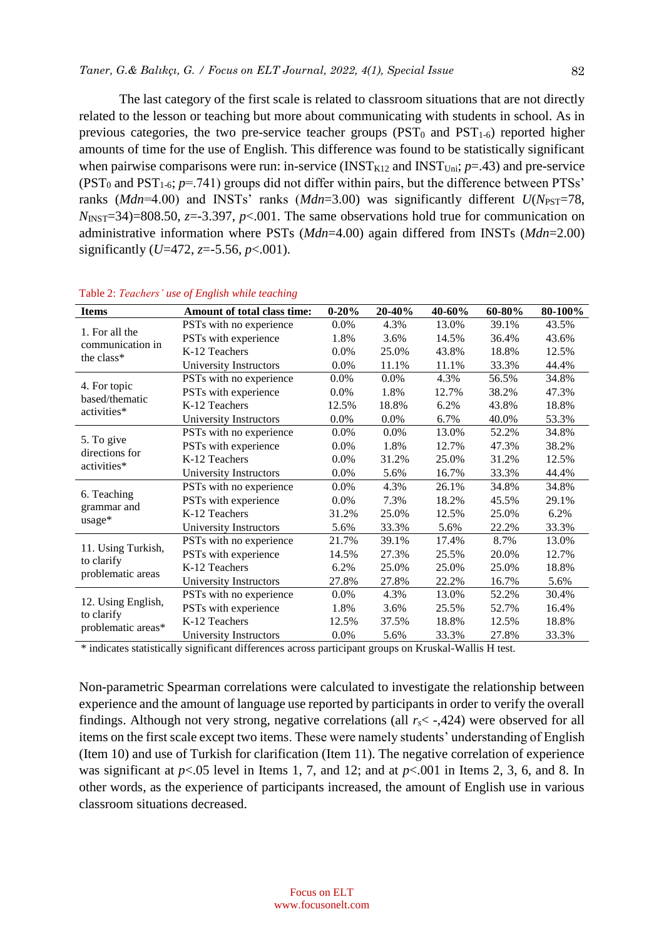The last category of the first scale is related to classroom situations that are not directly related to the lesson or teaching but more about communicating with students in school. As in previous categories, the two pre-service teacher groups ( $PST_0$  and  $PST_{1-6}$ ) reported higher amounts of time for the use of English. This difference was found to be statistically significant when pairwise comparisons were run: in-service ( $INST<sub>K12</sub>$  and  $INST<sub>Uni</sub>; p=.43$ ) and pre-service (PST<sup>0</sup> and PST1-6; *p*=.741) groups did not differ within pairs, but the difference between PTSs' ranks (*Mdn*=4.00) and INSTs' ranks (*Mdn*=3.00) was significantly different *U*(*N*<sub>PST</sub>=78,  $N_{\text{INST}}$ =34)=808.50, *z*=-3.397, *p*<.001. The same observations hold true for communication on administrative information where PSTs (*Mdn*=4.00) again differed from INSTs (*Mdn*=2.00) significantly (*U*=472, *z*=-5.56, *p*<.001).

| <b>Items</b>                                           | Amount of total class time: | $0 - 20%$ | $20 - 40%$ | 40-60% | $60 - 80\%$ | 80-100% |
|--------------------------------------------------------|-----------------------------|-----------|------------|--------|-------------|---------|
| 1. For all the<br>communication in<br>the class*       | PSTs with no experience     | 0.0%      | 4.3%       | 13.0%  | 39.1%       | 43.5%   |
|                                                        | PSTs with experience        | 1.8%      | 3.6%       | 14.5%  | 36.4%       | 43.6%   |
|                                                        | K-12 Teachers               | 0.0%      | 25.0%      | 43.8%  | 18.8%       | 12.5%   |
|                                                        | University Instructors      | 0.0%      | 11.1%      | 11.1%  | 33.3%       | 44.4%   |
| 4. For topic<br>based/thematic                         | PSTs with no experience     | $0.0\%$   | 0.0%       | 4.3%   | 56.5%       | 34.8%   |
|                                                        | PSTs with experience        | $0.0\%$   | 1.8%       | 12.7%  | 38.2%       | 47.3%   |
| activities*                                            | K-12 Teachers               | 12.5%     | 18.8%      | 6.2%   | 43.8%       | 18.8%   |
|                                                        | University Instructors      | $0.0\%$   | $0.0\%$    | 6.7%   | 40.0%       | 53.3%   |
|                                                        | PSTs with no experience     | 0.0%      | 0.0%       | 13.0%  | 52.2%       | 34.8%   |
| 5. To give<br>directions for                           | PSTs with experience        | 0.0%      | 1.8%       | 12.7%  | 47.3%       | 38.2%   |
| activities*                                            | K-12 Teachers               | 0.0%      | 31.2%      | 25.0%  | 31.2%       | 12.5%   |
|                                                        | University Instructors      | 0.0%      | 5.6%       | 16.7%  | 33.3%       | 44.4%   |
|                                                        | PSTs with no experience     | $0.0\%$   | 4.3%       | 26.1%  | 34.8%       | 34.8%   |
| 6. Teaching                                            | PSTs with experience        | $0.0\%$   | 7.3%       | 18.2%  | 45.5%       | 29.1%   |
| grammar and                                            | K-12 Teachers               | 31.2%     | 25.0%      | 12.5%  | 25.0%       | 6.2%    |
| $usage*$                                               | University Instructors      | 5.6%      | 33.3%      | 5.6%   | 22.2%       | 33.3%   |
| 11. Using Turkish,<br>to clarify<br>problematic areas  | PSTs with no experience     | 21.7%     | 39.1%      | 17.4%  | 8.7%        | 13.0%   |
|                                                        | PSTs with experience        | 14.5%     | 27.3%      | 25.5%  | 20.0%       | 12.7%   |
|                                                        | K-12 Teachers               | 6.2%      | 25.0%      | 25.0%  | 25.0%       | 18.8%   |
|                                                        | University Instructors      | 27.8%     | 27.8%      | 22.2%  | 16.7%       | 5.6%    |
| 12. Using English,<br>to clarify<br>problematic areas* | PSTs with no experience     | 0.0%      | 4.3%       | 13.0%  | 52.2%       | 30.4%   |
|                                                        | PSTs with experience        | 1.8%      | 3.6%       | 25.5%  | 52.7%       | 16.4%   |
|                                                        | K-12 Teachers               | 12.5%     | 37.5%      | 18.8%  | 12.5%       | 18.8%   |
|                                                        | University Instructors      | 0.0%      | 5.6%       | 33.3%  | 27.8%       | 33.3%   |

| Table 2: Teachers' use of English while teaching |  |  |
|--------------------------------------------------|--|--|
|--------------------------------------------------|--|--|

\* indicates statistically significant differences across participant groups on Kruskal-Wallis H test.

Non-parametric Spearman correlations were calculated to investigate the relationship between experience and the amount of language use reported by participants in order to verify the overall findings. Although not very strong, negative correlations (all *rs*< -,424) were observed for all items on the first scale except two items. These were namely students' understanding of English (Item 10) and use of Turkish for clarification (Item 11). The negative correlation of experience was significant at *p*<.05 level in Items 1, 7, and 12; and at *p*<.001 in Items 2, 3, 6, and 8. In other words, as the experience of participants increased, the amount of English use in various classroom situations decreased.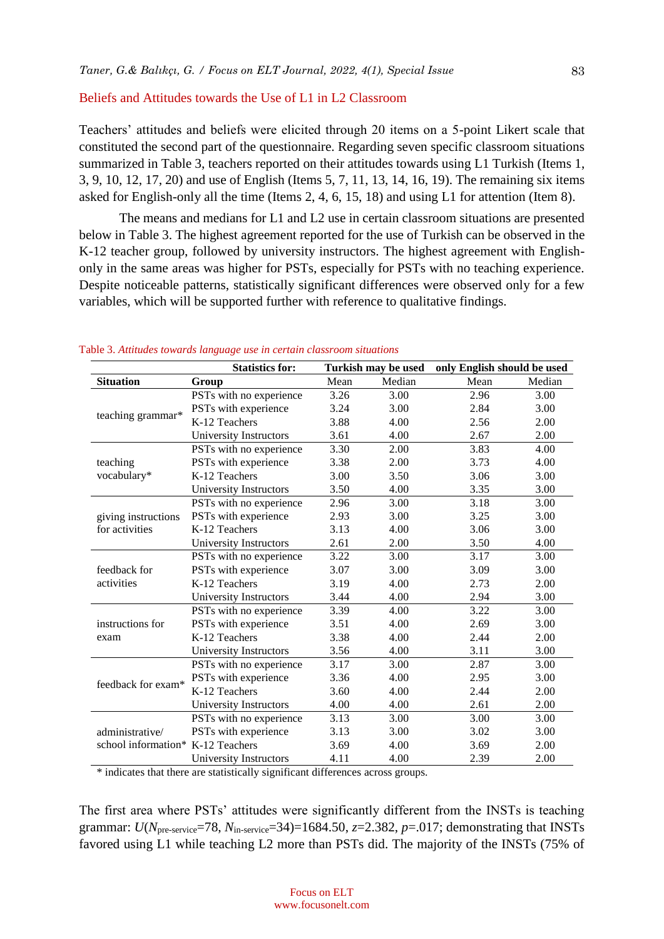#### Beliefs and Attitudes towards the Use of L1 in L2 Classroom

Teachers' attitudes and beliefs were elicited through 20 items on a 5-point Likert scale that constituted the second part of the questionnaire. Regarding seven specific classroom situations summarized in Table 3, teachers reported on their attitudes towards using L1 Turkish (Items 1, 3, 9, 10, 12, 17, 20) and use of English (Items 5, 7, 11, 13, 14, 16, 19). The remaining six items asked for English-only all the time (Items 2, 4, 6, 15, 18) and using L1 for attention (Item 8).

The means and medians for L1 and L2 use in certain classroom situations are presented below in Table 3. The highest agreement reported for the use of Turkish can be observed in the K-12 teacher group, followed by university instructors. The highest agreement with Englishonly in the same areas was higher for PSTs, especially for PSTs with no teaching experience. Despite noticeable patterns, statistically significant differences were observed only for a few variables, which will be supported further with reference to qualitative findings.

|                                                      | <b>Statistics for:</b>  | Turkish may be used |        | only English should be used |        |
|------------------------------------------------------|-------------------------|---------------------|--------|-----------------------------|--------|
| <b>Situation</b>                                     | Group                   | Mean                | Median | Mean                        | Median |
|                                                      | PSTs with no experience | 3.26                | 3.00   | 2.96                        | 3.00   |
|                                                      | PSTs with experience    | 3.24                | 3.00   | 2.84                        | 3.00   |
| teaching grammar*                                    | K-12 Teachers           | 3.88                | 4.00   | 2.56                        | 2.00   |
|                                                      | University Instructors  | 3.61                | 4.00   | 2.67                        | 2.00   |
|                                                      | PSTs with no experience | 3.30                | 2.00   | 3.83                        | 4.00   |
| teaching                                             | PSTs with experience    | 3.38                | 2.00   | 3.73                        | 4.00   |
| vocabulary*                                          | K-12 Teachers           | 3.00                | 3.50   | 3.06                        | 3.00   |
|                                                      | University Instructors  | 3.50                | 4.00   | 3.35                        | 3.00   |
|                                                      | PSTs with no experience | 2.96                | 3.00   | 3.18                        | 3.00   |
| giving instructions                                  | PSTs with experience    | 2.93                | 3.00   | 3.25                        | 3.00   |
| for activities                                       | K-12 Teachers           | 3.13                | 4.00   | 3.06                        | 3.00   |
|                                                      | University Instructors  | 2.61                | 2.00   | 3.50                        | 4.00   |
|                                                      | PSTs with no experience | 3.22                | 3.00   | 3.17                        | 3.00   |
| feedback for                                         | PSTs with experience    | 3.07                | 3.00   | 3.09                        | 3.00   |
| activities                                           | K-12 Teachers           | 3.19                | 4.00   | 2.73                        | 2.00   |
|                                                      | University Instructors  | 3.44                | 4.00   | 2.94                        | 3.00   |
|                                                      | PSTs with no experience | 3.39                | 4.00   | 3.22                        | 3.00   |
| instructions for                                     | PSTs with experience    | 3.51                | 4.00   | 2.69                        | 3.00   |
| exam                                                 | K-12 Teachers           | 3.38                | 4.00   | 2.44                        | 2.00   |
|                                                      | University Instructors  | 3.56                | 4.00   | 3.11                        | 3.00   |
|                                                      | PSTs with no experience | 3.17                | 3.00   | 2.87                        | 3.00   |
| feedback for exam*                                   | PSTs with experience    | 3.36                | 4.00   | 2.95                        | 3.00   |
|                                                      | K-12 Teachers           | 3.60                | 4.00   | 2.44                        | 2.00   |
|                                                      | University Instructors  | 4.00                | 4.00   | 2.61                        | 2.00   |
| administrative/<br>school information* K-12 Teachers | PSTs with no experience | 3.13                | 3.00   | 3.00                        | 3.00   |
|                                                      | PSTs with experience    | 3.13                | 3.00   | 3.02                        | 3.00   |
|                                                      |                         | 3.69                | 4.00   | 3.69                        | 2.00   |
|                                                      | University Instructors  | 4.11                | 4.00   | 2.39                        | 2.00   |

#### Table 3. *Attitudes towards language use in certain classroom situations*

\* indicates that there are statistically significant differences across groups.

The first area where PSTs' attitudes were significantly different from the INSTs is teaching grammar:  $U(N_{\text{pre-servative}}=78, N_{\text{in-serve}}=34)=1684.50, z=2.382, p=.017$ ; demonstrating that INSTs favored using L1 while teaching L2 more than PSTs did. The majority of the INSTs (75% of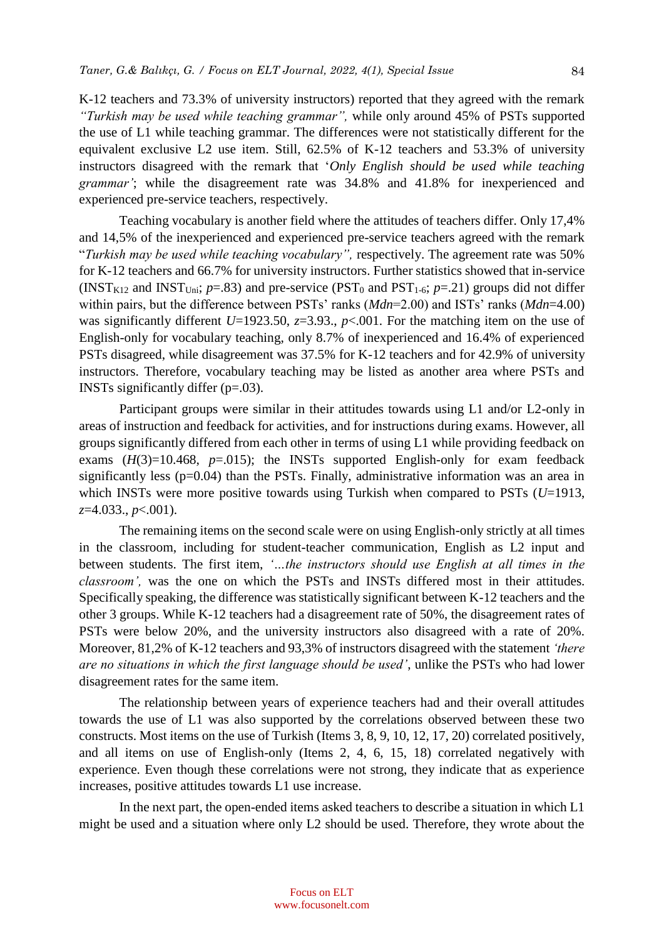K-12 teachers and 73.3% of university instructors) reported that they agreed with the remark *"Turkish may be used while teaching grammar",* while only around 45% of PSTs supported the use of L1 while teaching grammar. The differences were not statistically different for the equivalent exclusive L2 use item. Still, 62.5% of K-12 teachers and 53.3% of university instructors disagreed with the remark that '*Only English should be used while teaching grammar'*; while the disagreement rate was 34.8% and 41.8% for inexperienced and experienced pre-service teachers, respectively.

Teaching vocabulary is another field where the attitudes of teachers differ. Only 17,4% and 14,5% of the inexperienced and experienced pre-service teachers agreed with the remark "*Turkish may be used while teaching vocabulary",* respectively. The agreement rate was 50% for K-12 teachers and 66.7% for university instructors. Further statistics showed that in-service (INST<sub>K12</sub> and INST<sub>Uni</sub>;  $p=.83$ ) and pre-service (PST<sub>0</sub> and PST<sub>1-6</sub>;  $p=.21$ ) groups did not differ within pairs, but the difference between PSTs' ranks (*Mdn*=2.00) and ISTs' ranks (*Mdn*=4.00) was significantly different *U*=1923.50, *z*=3.93., *p*<.001. For the matching item on the use of English-only for vocabulary teaching, only 8.7% of inexperienced and 16.4% of experienced PSTs disagreed, while disagreement was 37.5% for K-12 teachers and for 42.9% of university instructors. Therefore, vocabulary teaching may be listed as another area where PSTs and INSTs significantly differ (p=.03).

Participant groups were similar in their attitudes towards using L1 and/or L2-only in areas of instruction and feedback for activities, and for instructions during exams. However, all groups significantly differed from each other in terms of using L1 while providing feedback on exams  $(H(3)=10.468, p=.015)$ ; the INSTs supported English-only for exam feedback significantly less (p=0.04) than the PSTs. Finally, administrative information was an area in which INSTs were more positive towards using Turkish when compared to PSTs (*U*=1913, *z*=4.033., *p*<.001).

The remaining items on the second scale were on using English-only strictly at all times in the classroom, including for student-teacher communication, English as L2 input and between students. The first item, *'…the instructors should use English at all times in the classroom',* was the one on which the PSTs and INSTs differed most in their attitudes. Specifically speaking, the difference was statistically significant between K-12 teachers and the other 3 groups. While K-12 teachers had a disagreement rate of 50%, the disagreement rates of PSTs were below 20%, and the university instructors also disagreed with a rate of 20%. Moreover, 81,2% of K-12 teachers and 93,3% of instructors disagreed with the statement *'there are no situations in which the first language should be used'*, unlike the PSTs who had lower disagreement rates for the same item.

The relationship between years of experience teachers had and their overall attitudes towards the use of L1 was also supported by the correlations observed between these two constructs. Most items on the use of Turkish (Items 3, 8, 9, 10, 12, 17, 20) correlated positively, and all items on use of English-only (Items 2, 4, 6, 15, 18) correlated negatively with experience. Even though these correlations were not strong, they indicate that as experience increases, positive attitudes towards L1 use increase.

In the next part, the open-ended items asked teachers to describe a situation in which L1 might be used and a situation where only L2 should be used. Therefore, they wrote about the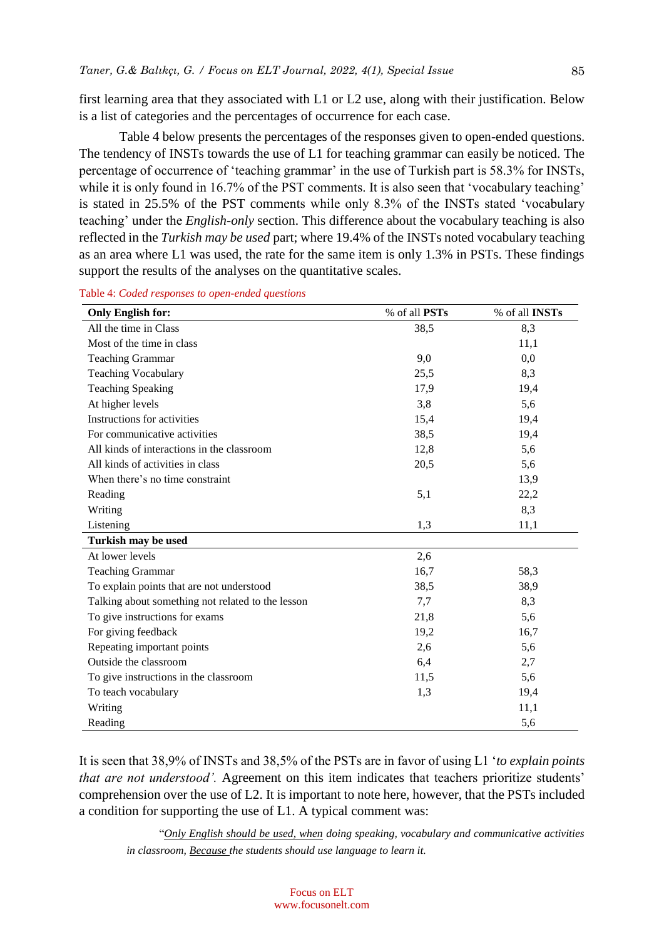first learning area that they associated with L1 or L2 use, along with their justification. Below is a list of categories and the percentages of occurrence for each case.

Table 4 below presents the percentages of the responses given to open-ended questions. The tendency of INSTs towards the use of L1 for teaching grammar can easily be noticed. The percentage of occurrence of 'teaching grammar' in the use of Turkish part is 58.3% for INSTs, while it is only found in 16.7% of the PST comments. It is also seen that 'vocabulary teaching' is stated in 25.5% of the PST comments while only 8.3% of the INSTs stated 'vocabulary teaching' under the *English-only* section. This difference about the vocabulary teaching is also reflected in the *Turkish may be used* part; where 19.4% of the INSTs noted vocabulary teaching as an area where L1 was used, the rate for the same item is only 1.3% in PSTs. These findings support the results of the analyses on the quantitative scales.

| <b>Only English for:</b>                          | % of all PSTs | % of all INSTs |
|---------------------------------------------------|---------------|----------------|
| All the time in Class                             | 38,5          | 8,3            |
| Most of the time in class                         |               | 11,1           |
| <b>Teaching Grammar</b>                           | 9,0           | 0,0            |
| <b>Teaching Vocabulary</b>                        | 25,5          | 8,3            |
| <b>Teaching Speaking</b>                          | 17,9          | 19,4           |
| At higher levels                                  | 3,8           | 5,6            |
| Instructions for activities                       | 15,4          | 19,4           |
| For communicative activities                      | 38,5          | 19,4           |
| All kinds of interactions in the classroom        | 12,8          | 5,6            |
| All kinds of activities in class                  | 20,5          | 5,6            |
| When there's no time constraint                   |               | 13,9           |
| Reading                                           | 5,1           | 22,2           |
| Writing                                           |               | 8,3            |
| Listening                                         | 1,3           | 11,1           |
| Turkish may be used                               |               |                |
| At lower levels                                   | 2,6           |                |
| <b>Teaching Grammar</b>                           | 16,7          | 58,3           |
| To explain points that are not understood         | 38,5          | 38,9           |
| Talking about something not related to the lesson | 7,7           | 8,3            |
| To give instructions for exams                    | 21,8          | 5,6            |
| For giving feedback                               | 19,2          | 16,7           |
| Repeating important points                        | 2,6           | 5,6            |
| Outside the classroom                             | 6,4           | 2,7            |
| To give instructions in the classroom             | 11,5          | 5,6            |
| To teach vocabulary                               | 1,3           | 19,4           |
| Writing                                           |               | 11,1           |
| Reading                                           |               | 5,6            |

Table 4: *Coded responses to open-ended questions*

It is seen that 38,9% of INSTs and 38,5% of the PSTs are in favor of using L1 '*to explain points that are not understood'*. Agreement on this item indicates that teachers prioritize students' comprehension over the use of L2. It is important to note here, however, that the PSTs included a condition for supporting the use of L1. A typical comment was:

"*Only English should be used, when doing speaking, vocabulary and communicative activities in classroom, Because the students should use language to learn it.*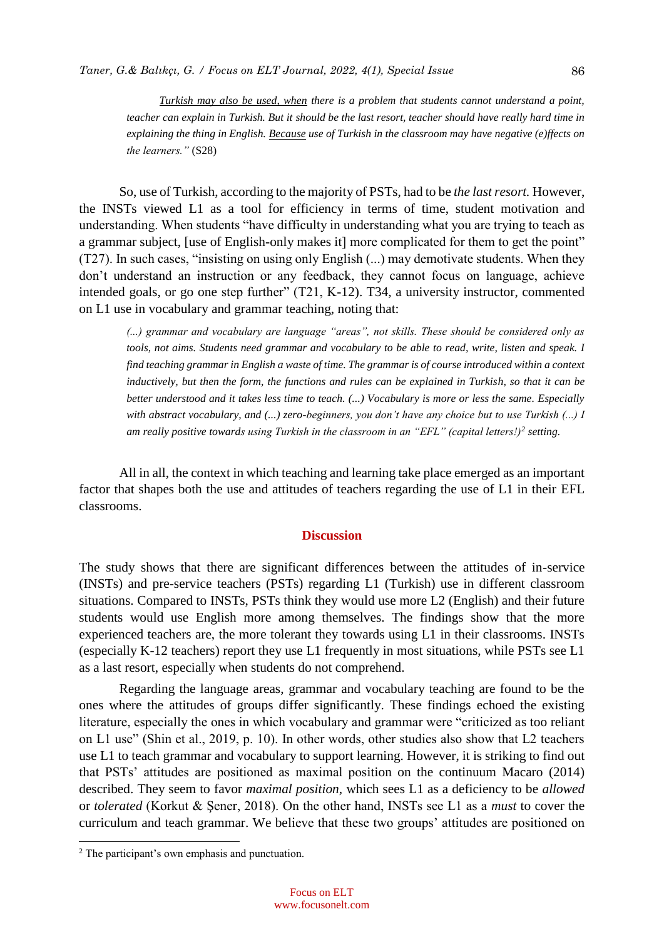*Turkish may also be used, when there is a problem that students cannot understand a point, teacher can explain in Turkish. But it should be the last resort, teacher should have really hard time in explaining the thing in English. Because use of Turkish in the classroom may have negative (e)ffects on the learners."* (S28)

So, use of Turkish, according to the majority of PSTs, had to be *the last resort.* However, the INSTs viewed L1 as a tool for efficiency in terms of time, student motivation and understanding. When students "have difficulty in understanding what you are trying to teach as a grammar subject, [use of English-only makes it] more complicated for them to get the point" (T27). In such cases, "insisting on using only English (...) may demotivate students. When they don't understand an instruction or any feedback, they cannot focus on language, achieve intended goals, or go one step further" (T21, K-12). T34, a university instructor, commented on L1 use in vocabulary and grammar teaching, noting that:

*(...) grammar and vocabulary are language "areas", not skills. These should be considered only as tools, not aims. Students need grammar and vocabulary to be able to read, write, listen and speak. I find teaching grammar in English a waste of time. The grammar is of course introduced within a context inductively, but then the form, the functions and rules can be explained in Turkish, so that it can be better understood and it takes less time to teach. (...) Vocabulary is more or less the same. Especially with abstract vocabulary, and (...) zero-beginners, you don't have any choice but to use Turkish (...) I am really positive towards using Turkish in the classroom in an "EFL" (capital letters!)<sup>2</sup> setting.*

All in all, the context in which teaching and learning take place emerged as an important factor that shapes both the use and attitudes of teachers regarding the use of L1 in their EFL classrooms.

#### **Discussion**

The study shows that there are significant differences between the attitudes of in-service (INSTs) and pre-service teachers (PSTs) regarding L1 (Turkish) use in different classroom situations. Compared to INSTs, PSTs think they would use more L2 (English) and their future students would use English more among themselves. The findings show that the more experienced teachers are, the more tolerant they towards using L1 in their classrooms. INSTs (especially K-12 teachers) report they use L1 frequently in most situations, while PSTs see L1 as a last resort, especially when students do not comprehend.

Regarding the language areas, grammar and vocabulary teaching are found to be the ones where the attitudes of groups differ significantly. These findings echoed the existing literature, especially the ones in which vocabulary and grammar were "criticized as too reliant on L1 use" (Shin et al., 2019, p. 10). In other words, other studies also show that L2 teachers use L1 to teach grammar and vocabulary to support learning. However, it is striking to find out that PSTs' attitudes are positioned as maximal position on the continuum Macaro (2014) described. They seem to favor *maximal position*, which sees L1 as a deficiency to be *allowed*  or *tolerated* (Korkut & Şener, 2018). On the other hand, INSTs see L1 as a *must* to cover the curriculum and teach grammar. We believe that these two groups' attitudes are positioned on

 $\overline{a}$ 

<sup>&</sup>lt;sup>2</sup> The participant's own emphasis and punctuation.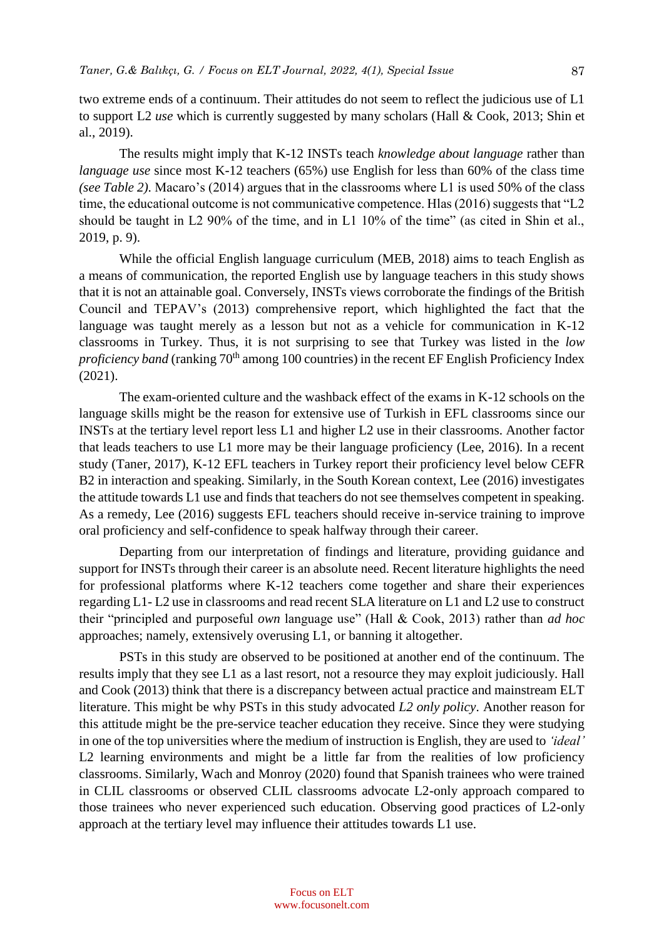two extreme ends of a continuum. Their attitudes do not seem to reflect the judicious use of L1 to support L2 *use* which is currently suggested by many scholars (Hall & Cook, 2013; Shin et al., 2019).

The results might imply that K-12 INSTs teach *knowledge about language* rather than *language use* since most K-12 teachers (65%) use English for less than 60% of the class time *(see Table 2).* Macaro's (2014) argues that in the classrooms where L1 is used 50% of the class time, the educational outcome is not communicative competence. Hlas (2016) suggests that "L2 should be taught in L2 90% of the time, and in L1 10% of the time" (as cited in Shin et al., 2019, p. 9).

While the official English language curriculum (MEB, 2018) aims to teach English as a means of communication, the reported English use by language teachers in this study shows that it is not an attainable goal. Conversely, INSTs views corroborate the findings of the British Council and TEPAV's (2013) comprehensive report, which highlighted the fact that the language was taught merely as a lesson but not as a vehicle for communication in K-12 classrooms in Turkey. Thus, it is not surprising to see that Turkey was listed in the *low proficiency band* (ranking 70<sup>th</sup> among 100 countries) in the recent EF English Proficiency Index (2021).

The exam-oriented culture and the washback effect of the exams in K-12 schools on the language skills might be the reason for extensive use of Turkish in EFL classrooms since our INSTs at the tertiary level report less L1 and higher L2 use in their classrooms. Another factor that leads teachers to use L1 more may be their language proficiency (Lee, 2016). In a recent study (Taner, 2017), K-12 EFL teachers in Turkey report their proficiency level below CEFR B2 in interaction and speaking. Similarly, in the South Korean context, Lee (2016) investigates the attitude towards L1 use and finds that teachers do not see themselves competent in speaking. As a remedy, Lee (2016) suggests EFL teachers should receive in-service training to improve oral proficiency and self-confidence to speak halfway through their career.

Departing from our interpretation of findings and literature, providing guidance and support for INSTs through their career is an absolute need. Recent literature highlights the need for professional platforms where K-12 teachers come together and share their experiences regarding L1- L2 use in classrooms and read recent SLA literature on L1 and L2 use to construct their "principled and purposeful *own* language use" (Hall & Cook, 2013) rather than *ad hoc* approaches; namely, extensively overusing L1, or banning it altogether.

PSTs in this study are observed to be positioned at another end of the continuum. The results imply that they see L1 as a last resort, not a resource they may exploit judiciously. Hall and Cook (2013) think that there is a discrepancy between actual practice and mainstream ELT literature. This might be why PSTs in this study advocated *L2 only policy*. Another reason for this attitude might be the pre-service teacher education they receive. Since they were studying in one of the top universities where the medium of instruction is English, they are used to *'ideal'* L2 learning environments and might be a little far from the realities of low proficiency classrooms. Similarly, Wach and Monroy (2020) found that Spanish trainees who were trained in CLIL classrooms or observed CLIL classrooms advocate L2-only approach compared to those trainees who never experienced such education. Observing good practices of L2-only approach at the tertiary level may influence their attitudes towards L1 use.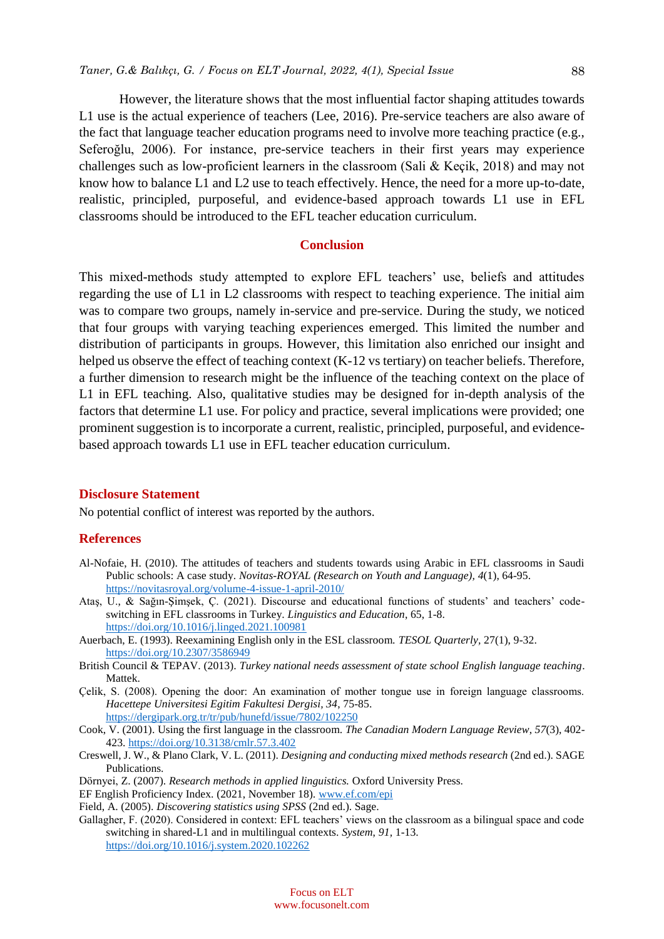However, the literature shows that the most influential factor shaping attitudes towards L1 use is the actual experience of teachers (Lee, 2016). Pre-service teachers are also aware of the fact that language teacher education programs need to involve more teaching practice (e.g., Seferoğlu, 2006). For instance, pre-service teachers in their first years may experience challenges such as low-proficient learners in the classroom (Sali & Keçik, 2018) and may not know how to balance L1 and L2 use to teach effectively. Hence, the need for a more up-to-date, realistic, principled, purposeful, and evidence-based approach towards L1 use in EFL classrooms should be introduced to the EFL teacher education curriculum.

# **Conclusion**

This mixed-methods study attempted to explore EFL teachers' use, beliefs and attitudes regarding the use of L1 in L2 classrooms with respect to teaching experience. The initial aim was to compare two groups, namely in-service and pre-service. During the study, we noticed that four groups with varying teaching experiences emerged. This limited the number and distribution of participants in groups. However, this limitation also enriched our insight and helped us observe the effect of teaching context (K-12 vs tertiary) on teacher beliefs. Therefore, a further dimension to research might be the influence of the teaching context on the place of L1 in EFL teaching. Also, qualitative studies may be designed for in-depth analysis of the factors that determine L1 use. For policy and practice, several implications were provided; one prominent suggestion is to incorporate a current, realistic, principled, purposeful, and evidencebased approach towards L1 use in EFL teacher education curriculum.

#### **Disclosure Statement**

No potential conflict of interest was reported by the authors.

#### **References**

- Al-Nofaie, H. (2010). The attitudes of teachers and students towards using Arabic in EFL classrooms in Saudi Public schools: A case study. *Novitas-ROYAL (Research on Youth and Language), 4*(1), 64-95. <https://novitasroyal.org/volume-4-issue-1-april-2010/>
- Ataş, U., & Sağın-Şimşek, Ç. (2021). Discourse and educational functions of students' and teachers' codeswitching in EFL classrooms in Turkey. *Linguistics and Education*, 65, 1-8. <https://doi.org/10.1016/j.linged.2021.100981>
- Auerbach, E. (1993). Reexamining English only in the ESL classroom. *TESOL Quarterly,* 27(1), 9-32. <https://doi.org/10.2307/3586949>
- British Council & TEPAV. (2013). *Turkey national needs assessment of state school English language teaching*. Mattek.
- Çelik, S. (2008). Opening the door: An examination of mother tongue use in foreign language classrooms. *Hacettepe Universitesi Egitim Fakultesi Dergisi, 34*, 75-85. <https://dergipark.org.tr/tr/pub/hunefd/issue/7802/102250>
- Cook, V. (2001). Using the first language in the classroom. *The Canadian Modern Language Review*, *57*(3), 402- 423.<https://doi.org/10.3138/cmlr.57.3.402>
- Creswell, J. W., & Plano Clark, V. L. (2011). *Designing and conducting mixed methods research* (2nd ed.). SAGE Publications.
- Dörnyei, Z. (2007). *Research methods in applied linguistics.* Oxford University Press.
- EF English Proficiency Index. (2021, November 18). [www.ef.com/epi](http://www.ef.com/epi)
- Field, A. (2005). *Discovering statistics using SPSS* (2nd ed.). Sage.
- Gallagher, F. (2020). Considered in context: EFL teachers' views on the classroom as a bilingual space and code switching in shared-L1 and in multilingual contexts. *System*, *91,* 1-13. <https://doi.org/10.1016/j.system.2020.102262>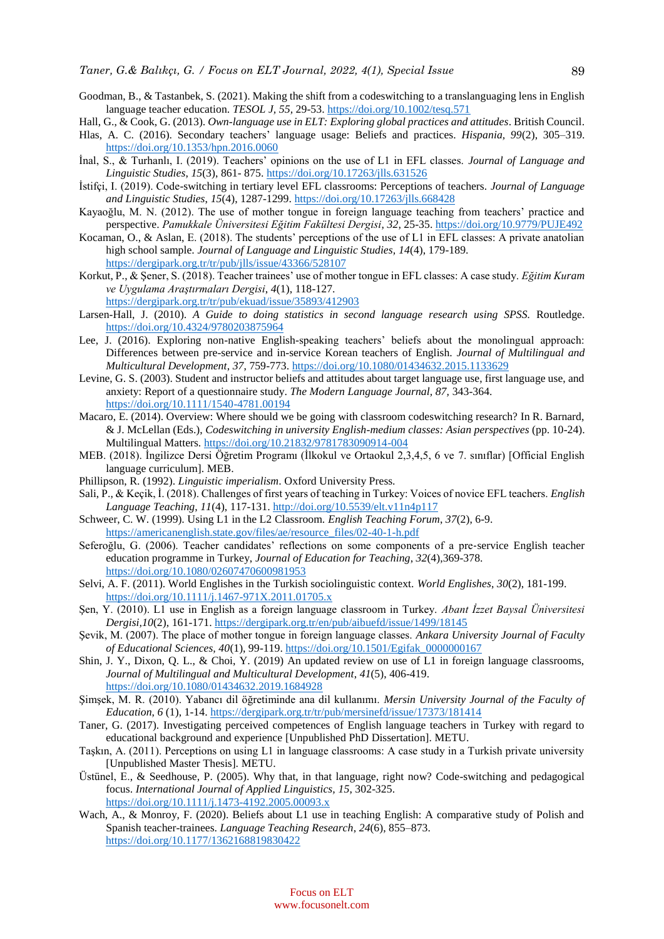- Goodman, B., & Tastanbek, S. (2021). Making the shift from a codeswitching to a translanguaging lens in English language teacher education. *TESOL J, 55,* 29-53[. https://doi.org/10.1002/tesq.571](https://doi.org/10.1002/tesq.571)
- Hall, G., & Cook, G. (2013). *Own-language use in ELT: Exploring global practices and attitudes*. British Council.
- Hlas, A. C. (2016). Secondary teachers' language usage: Beliefs and practices. *Hispania, 99*(2), 305–319. <https://doi.org/10.1353/hpn.2016.0060>
- İnal, S., & Turhanlı, I. (2019). Teachers' opinions on the use of L1 in EFL classes. *Journal of Language and Linguistic Studies*, *15*(3), 861- 875.<https://doi.org/10.17263/jlls.631526>
- İstifçi, I. (2019). Code-switching in tertiary level EFL classrooms: Perceptions of teachers. *Journal of Language and Linguistic Studies*, *15*(4), 1287-1299.<https://doi.org/10.17263/jlls.668428>
- Kayaoğlu, M. N. (2012). The use of mother tongue in foreign language teaching from teachers' practice and perspective. *Pamukkale Üniversitesi Eğitim Fakültesi Dergisi*, *32*, 25-35. <https://doi.org/10.9779/PUJE492>
- Kocaman, O., & Aslan, E. (2018). The students' perceptions of the use of L1 in EFL classes: A private anatolian high school sample. *Journal of Language and Linguistic Studies, 14*(4), 179-189. <https://dergipark.org.tr/tr/pub/jlls/issue/43366/528107>
- Korkut, P., & Şener, S. (2018). Teacher trainees' use of mother tongue in EFL classes: A case study. *Eğitim Kuram ve Uygulama Araştırmaları Dergisi*, *4*(1), 118-127. <https://dergipark.org.tr/tr/pub/ekuad/issue/35893/412903>
- Larsen-Hall, J. (2010). *A Guide to doing statistics in second language research using SPSS.* Routledge. <https://doi.org/10.4324/9780203875964>
- Lee, J. (2016). Exploring non-native English-speaking teachers' beliefs about the monolingual approach: Differences between pre-service and in-service Korean teachers of English. *Journal of Multilingual and Multicultural Development*, *37*, 759-773.<https://doi.org/10.1080/01434632.2015.1133629>
- Levine, G. S. (2003). Student and instructor beliefs and attitudes about target language use, first language use, and anxiety: Report of a questionnaire study. *The Modern Language Journal, 87,* 343-364. <https://doi.org/10.1111/1540-4781.00194>
- Macaro, E. (2014). Overview: Where should we be going with classroom codeswitching research? In R. Barnard, & J. McLellan (Eds.), *Codeswitching in university English-medium classes: Asian perspectives* (pp. 10-24). Multilingual Matters. <https://doi.org/10.21832/9781783090914-004>
- MEB. (2018). İngilizce Dersi Öğretim Programı (İlkokul ve Ortaokul 2,3,4,5, 6 ve 7. sınıflar) [Official English language curriculum]. MEB.
- Phillipson, R. (1992). *Linguistic imperialism*. Oxford University Press.
- Sali, P., & Keçik, İ. (2018). Challenges of first years of teaching in Turkey: Voices of novice EFL teachers. *English Language Teaching*, *11*(4), 117-131[. http://doi.org/10.5539/elt.v11n4p117](http://doi.org/10.5539/elt.v11n4p117)
- Schweer, C. W. (1999). Using L1 in the L2 Classroom. *English Teaching Forum*, *37*(2), 6-9. [https://americanenglish.state.gov/files/ae/resource\\_files/02-40-1-h.pdf](https://americanenglish.state.gov/files/ae/resource_files/02-40-1-h.pdf)
- Seferoğlu, G. (2006). Teacher candidates' reflections on some components of a pre‐service English teacher education programme in Turkey, *Journal of Education for Teaching*, *32*(4),369-378. <https://doi.org/10.1080/02607470600981953>
- Selvi, A. F. (2011). World Englishes in the Turkish sociolinguistic context. *World Englishes*, *30*(2), 181-199. <https://doi.org/10.1111/j.1467-971X.2011.01705.x>
- Şen, Y. (2010). L1 use in English as a foreign language classroom in Turkey. *Abant İzzet Baysal Üniversitesi Dergisi,10*(2), 161-171[. https://dergipark.org.tr/en/pub/aibuefd/issue/1499/18145](https://dergipark.org.tr/en/pub/aibuefd/issue/1499/18145)
- Şevik, M. (2007). The place of mother tongue in foreign language classes. *Ankara University Journal of Faculty of Educational Sciences, 40*(1), 99-119. [https://doi.org/10.1501/Egifak\\_0000000167](https://doi.org/10.1501/Egifak_0000000167)
- Shin, J. Y., Dixon, Q. L., & Choi, Y. (2019) An updated review on use of L1 in foreign language classrooms, *Journal of Multilingual and Multicultural Development*, *41*(5), 406-419. <https://doi.org/10.1080/01434632.2019.1684928>
- Şimşek, M. R. (2010). Yabancı dil öğretiminde ana dil kullanımı. *Mersin University Journal of the Faculty of Education*, *6* (1), 1-14[. https://dergipark.org.tr/tr/pub/mersinefd/issue/17373/181414](https://dergipark.org.tr/tr/pub/mersinefd/issue/17373/181414)
- Taner, G. (2017). Investigating perceived competences of English language teachers in Turkey with regard to educational background and experience [Unpublished PhD Dissertation]. METU.
- Taşkın, A. (2011). Perceptions on using L1 in language classrooms: A case study in a Turkish private university [Unpublished Master Thesis]. METU.
- Üstünel, E., & Seedhouse, P. (2005). Why that, in that language, right now? Code-switching and pedagogical focus. *International Journal of Applied Linguistics, 15*, 302-325. <https://doi.org/10.1111/j.1473-4192.2005.00093.x>
- Wach, A., & Monroy, F. (2020). Beliefs about L1 use in teaching English: A comparative study of Polish and Spanish teacher-trainees. *Language Teaching Research*, *24*(6), 855–873. <https://doi.org/10.1177/1362168819830422>